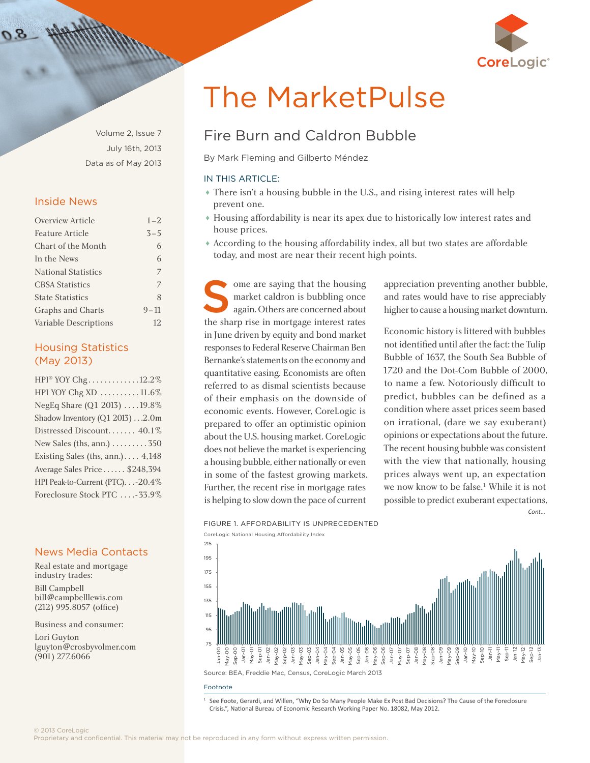

<span id="page-0-0"></span>Volume 2, Issue 7 July 16th, 2013 Data as of May 2013

## Inside News

| Overview Article           | $1 - 2$  |
|----------------------------|----------|
| Feature Article            | $3 - 5$  |
| Chart of the Month         | 6        |
| In the News                | 6        |
| <b>National Statistics</b> | 7        |
| <b>CBSA Statistics</b>     | 7        |
| <b>State Statistics</b>    | 8        |
| Graphs and Charts          | $9 - 11$ |
| Variable Descriptions      | 12.      |

## Housing Statistics (May 2013)

| HPI® YOY Chg12.2%                  |
|------------------------------------|
| HPI YOY Chg XD 11.6%               |
| NegEq Share (Q1 2013) 19.8%        |
| Shadow Inventory (Q1 2013) 2.0m    |
| Distressed Discount 40.1%          |
| New Sales (ths, ann.) 350          |
| Existing Sales (ths, ann.) 4,148   |
| Average Sales Price  \$248,394     |
| HPI Peak-to-Current (PTC). - 20.4% |
| Foreclosure Stock PTC -33.9%       |
|                                    |

## News Media Contacts

Real estate and mortgage industry trades: Bill Campbell [bill@campbelllewis.com](mailto:bill%40campbelllewis.com?subject=)  (212) 995.8057 (office)

Business and consumer:

Lori Guyton [lguyton@crosbyvolmer.com](mailto:lguyton%40crosbyvolmer.com?subject=) (901) 277.6066

# The MarketPulse

# Fire Burn and Caldron Bubble

By Mark Fleming and Gilberto Méndez

## In this article:

- ♦ There isn't a housing bubble in the U.S., and rising interest rates will help prevent one.
- ♦ Housing affordability is near its apex due to historically low interest rates and house prices.
- ♦ According to the housing affordability index, all but two states are affordable today, and most are near their recent high points.

ome are saying that the housing market caldron is bubbling once again. Others are concerned about ome are saying that the housing<br>market caldron is bubbling once<br>again. Others are concerned about<br>the sharp rise in mortgage interest rates in June driven by equity and bond market responses to Federal Reserve Chairman Ben Bernanke's statements on the economy and quantitative easing. Economists are often referred to as dismal scientists because of their emphasis on the downside of economic events. However, CoreLogic is prepared to offer an optimistic opinion about the U.S. housing market. CoreLogic does not believe the market is experiencing a housing bubble, either nationally or even in some of the fastest growing markets. Further, the recent rise in mortgage rates is helping to slow down the pace of current the downside of predict, bubble<br>ver, CoreLogic is condition where<br>timidia is a pair in the prediction of the timidial of

CoreLogic National Housing Affordability Index



Source: BEA, Freddie Mac, Census, CoreLogic March 2013

Footnote

<sup>1</sup> See Foote, Gerardi, and Willen, "Why Do So Many People Make Ex Post Bad Decisions? The Cause of the Foreclosure Crisis.", National Bureau of Economic Research Working Paper No. 18082, May 2012.

© 2013 CoreLogic

Proprietary and confidential. This material may not be reproduced in any form without express written permission.

appreciation preventing another bubble, and rates would have to rise appreciably higher to cause a housing market downturn.

Economic history is littered with bubbles not identified until after the fact: the Tulip Bubble of 1637, the South Sea Bubble of 1720 and the Dot-Com Bubble of 2000, to name a few. Notoriously difficult to predict, bubbles can be defined as a condition where asset prices seem based on irrational, (dare we say exuberant) opinions or expectations about the future. The recent housing bubble was consistent with the view that nationally, housing prices always went up, an expectation we now know to be false.<sup>1</sup> While it is not possible to predict exuberant expectations, *Cont...*

Figure 1. Affordability is Unprecedented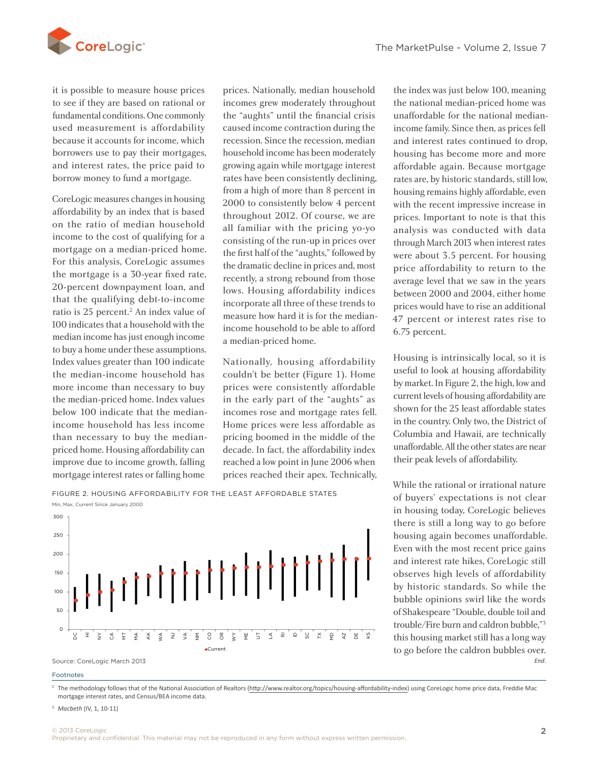the index was just below 100, meaning



it is possible to measure house prices to see if they are based on rational or fundamental conditions. One commonly used measurement is affordability because it accounts for income, which borrowers use to pay their mortgages, and interest rates, the price paid to borrow money to fund a mortgage.

CoreLogic measures changes in housing affordability by an index that is based on the ratio of median household income to the cost of qualifying for a mortgage on a median-priced home. For this analysis, CoreLogic assumes the mortgage is a 30-year fixed rate, 20-percent downpayment loan, and that the qualifying debt-to-income ratio is 25 percent.<sup>2</sup> An index value of 100 indicates that a household with the median income has just enough income to buy a home under these assumptions. Index values greater than 100 indicate the median-income household has more income income nousehold has<br>
more income than necessary to buy epices were conthe median-priced home. Index values in the early part the median-priced home. Index values below 100 indicate that the medianincome household has less income than necessary to buy the medianpriced home. Housing affordability can improve due to income growth, falling mortgage interest rates or falling home

prices. Nationally, median household incomes grew moderately throughout the "aughts" until the financial crisis caused income contraction during the recession. Since the recession, median household income has been moderately growing again while mortgage interest rates have been consistently declining, from a high of more than 8 percent in 2000 to consistently below 4 percent throughout 2012. Of course, we are all familiar with the pricing yo-yo consisting of the run-up in prices over the first half of the "aughts," followed by the dramatic decline in prices and, most recently, a strong rebound from those lows. Housing affordability indices incorporate all three of these trends to measure how hard it is for the medianincome household to be able to afford a median-priced home.

Nationally, housing affordability couldn't be better ([Figure 1](#page-0-0)). Home prices were consistently affordable in the early part of the "aughts" as incomes rose and mortgage rates fell. Home prices were less affordable as pricing boomed in the middle of the decade. In fact, the affordability index reached a low point in June 2006 when prices reached their apex. Technically,

Figure 2. Housing Affordability for the Least Affordable States



Source: CoreLogic March 2013

#### Footnotes

<sup>2</sup> The methodology follows that of the National Association of Realtors ([http://www.realtor.org/topics/housing-affordability-index\)](http://www.realtor.org/topics/housing-affordability-index) using CoreLogic home price data, Freddie Mac mortgage interest rates, and Census/BEA income data.

the national median-priced home was unaffordable for the national medianincome family. Since then, as prices fell and interest rates continued to drop, housing has become more and more affordable again. Because mortgage rates are, by historic standards, still low, housing remains highly affordable, even with the recent impressive increase in prices. Important to note is that this analysis was conducted with data through March 2013 when interest rates were about 3.5 percent. For housing price affordability to return to the average level that we saw in the years between 2000 and 2004, either home prices would have to rise an additional 47 percent or interest rates rise to 6.75 percent.

Housing is intrinsically local, so it is useful to look at housing affordability by market. In Figure 2, the high, low and current levels of housing affordability are shown for the 25 least affordable states in the country. Only two, the District of Columbia and Hawaii, are technically unaffordable. All the other states are near their peak levels of affordability.

While the rational or irrational nature of buyers' expectations is not clear in housing today, CoreLogic believes there is still a long way to go before housing again becomes unaffordable. Even with the most recent price gains and interest rate hikes, CoreLogic still observes high levels of affordability by historic standards. So while the bubble opinions swirl like the words of Shakespeare "Double, double toil and trouble/Fire burn and caldron bubble,"3 this housing market still has a long way to go before the caldron bubbles over. *End.*

<sup>3</sup> *Macbeth* (IV, 1, 10-11)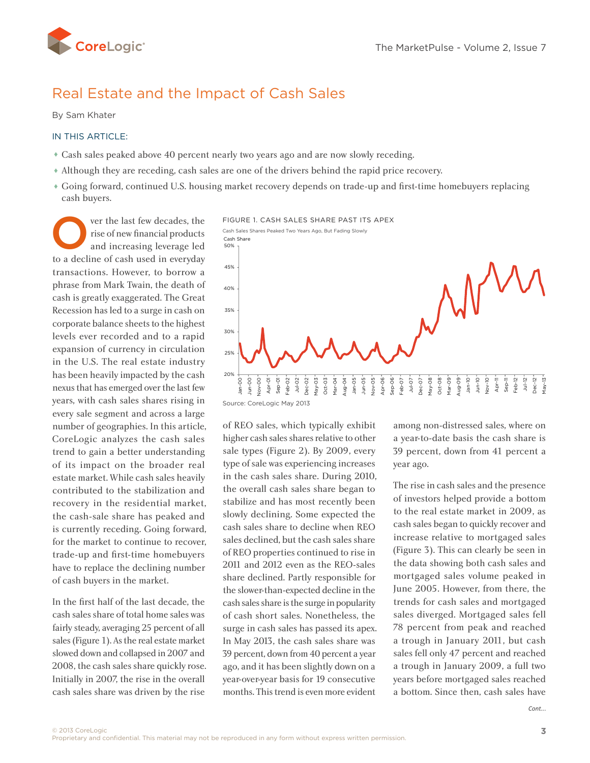<span id="page-2-0"></span>

# Real Estate and the Impact of Cash Sales

## By Sam Khater

## In this article:

- ♦ Cash sales peaked above 40 percent nearly two years ago and are now slowly receding.
- ♦ Although they are receding, cash sales are one of the drivers behind the rapid price recovery.
- ♦ Going forward, continued U.S. housing market recovery depends on trade-up and first-time homebuyers replacing cash buyers.

ver the last few decades, the rise of new financial products and increasing leverage led to a decline of cash used in everyday transactions. However, to borrow a phrase from Mark Twain, the death of cash is greatly exaggerated. The Great Recession has led to a surge in cash on corporate balance sheets to the highest levels ever recorded and to a rapid expansion of currency in circulation in the U.S. The real estate industry has been heavily impacted by the cash nexus that has emerged over the last few years, with cash sales shares rising in every sale segment and across a large number of geographies. In this article, CoreLogic analyzes the cash sales trend to gain a better understanding of its impact on the broader real estate market. While cash sales heavily contributed to the stabilization and recovery in the residential market, the cash-sale share has peaked and is currently receding. Going forward, for the market to continue to recover, trade-up and first-time homebuyers have to replace the declining number of cash buyers in the market.

In the first half of the last decade, the cash sales share of total home sales was fairly steady, averaging 25 percent of all sales (Figure 1). As the real estate market slowed down and collapsed in 2007 and 2008, the cash sales share quickly rose. Initially in 2007, the rise in the overall cash sales share was driven by the rise



of REO sales, which typically exhibit higher cash sales shares relative to other sale types ([Figure 2](#page-3-0)). By 2009, every type of sale was experiencing increases in the cash sales share. During 2010, the overall cash sales share began to stabilize and has most recently been slowly declining. Some expected the cash sales share to decline when REO sales declined, but the cash sales share of REO properties continued to rise in 2011 and 2012 even as the REO-sales share declined. Partly responsible for the slower-than-expected decline in the cash sales share is the surge in popularity of cash short sales. Nonetheless, the surge in cash sales has passed its apex. In May 2013, the cash sales share was 39 percent, down from 40 percent a year ago, and it has been slightly down on a year-over-year basis for 19 consecutive months. This trend is even more evident among non-distressed sales, where on a year-to-date basis the cash share is 39 percent, down from 41 percent a year ago.

The rise in cash sales and the presence of investors helped provide a bottom to the real estate market in 2009, as cash sales began to quickly recover and increase relative to mortgaged sales [\(Figure 3](#page-3-0)). This can clearly be seen in the data showing both cash sales and mortgaged sales volume peaked in June 2005. However, from there, the trends for cash sales and mortgaged sales diverged. Mortgaged sales fell 78 percent from peak and reached a trough in January 2011, but cash sales fell only 47 percent and reached a trough in January 2009, a full two years before mortgaged sales reached a bottom. Since then, cash sales have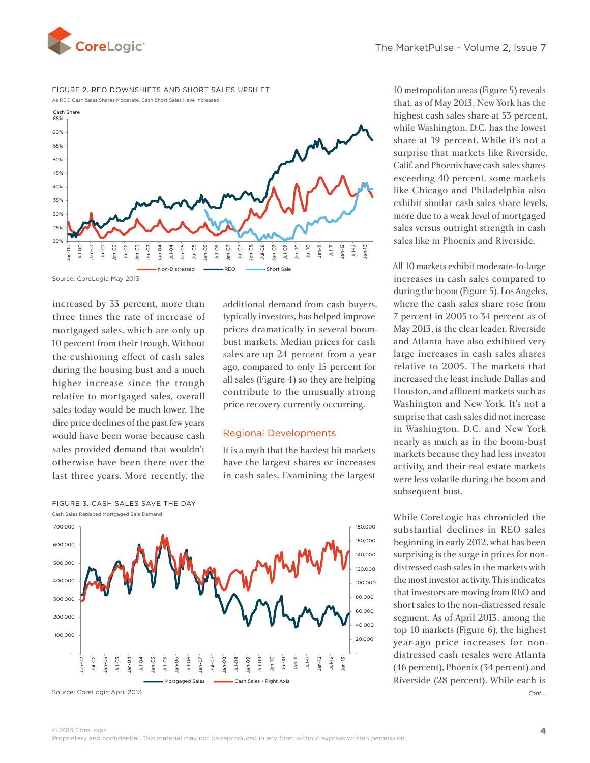<span id="page-3-0"></span>



As REO Cash Sales Shares Moderate, Cash Short Sales Have Increased



Source: CoreLogic May 2013

increased by 33 percent, more than three times the rate of increase of mortgaged sales, which are only up 10 percent from their trough. Without the cushioning effect of cash sales during the housing bust and a much higher increase since the trough relative to mortgaged sales, overall sales today would be much lower. The dire price declines of the past few years would have been worse because cash sales provided demand that wouldn't otherwise have been there over the last three years. More recently, the

Figure 3. Cash Sales Save the Day

additional demand from cash buyers, typically investors, has helped improve prices dramatically in several boombust markets. Median prices for cash sales are up 24 percent from a year ago, compared to only 15 percent for all sales [\(Figure 4](#page-4-0)) so they are helping contribute to the unusually strong ed sates, overall price recovery currently occurring.<br>
the past few years

## Regional Developments

It is a myth that the hardest hit markets have the largest shares or increases in cash sales. Examining the largest

![](_page_3_Figure_10.jpeg)

Source: CoreLogic April 2013

10 metropolitan areas ([Figure 5\)](#page-4-0) reveals that, as of May 2013, New York has the highest cash sales share at 53 percent, while Washington, D.C. has the lowest share at 19 percent. While it's not a surprise that markets like Riverside, Calif. and Phoenix have cash sales shares exceeding 40 percent, some markets like Chicago and Philadelphia also exhibit similar cash sales share levels, more due to a weak level of mortgaged sales versus outright strength in cash sales like in Phoenix and Riverside.

All 10 markets exhibit moderate-to-large increases in cash sales compared to during the boom [\(Figure 5\)](#page-4-0). Los Angeles, where the cash sales share rose from 7 percent in 2005 to 34 percent as of May 2013, is the clear leader. Riverside and Atlanta have also exhibited very large increases in cash sales shares relative to 2005. The markets that increased the least include Dallas and Houston, and affluent markets such as Washington and New York. It's not a surprise that cash sales did not increase in Washington, D.C. and New York nearly as much as in the boom-bust markets because they had less investor activity, and their real estate markets were less volatile during the boom and subsequent bust.

While CoreLogic has chronicled the substantial declines in REO sales beginning in early 2012, what has been surprising is the surge in prices for nondistressed cash sales in the markets with the most investor activity. This indicates that investors are moving from REO and short sales to the non-distressed resale segment. As of April 2013, among the top 10 markets ([Figure 6\)](#page-4-0), the highest year-ago price increases for nondistressed cash resales were Atlanta (46 percent), Phoenix (34 percent) and Riverside (28 percent). While each is *Cont...*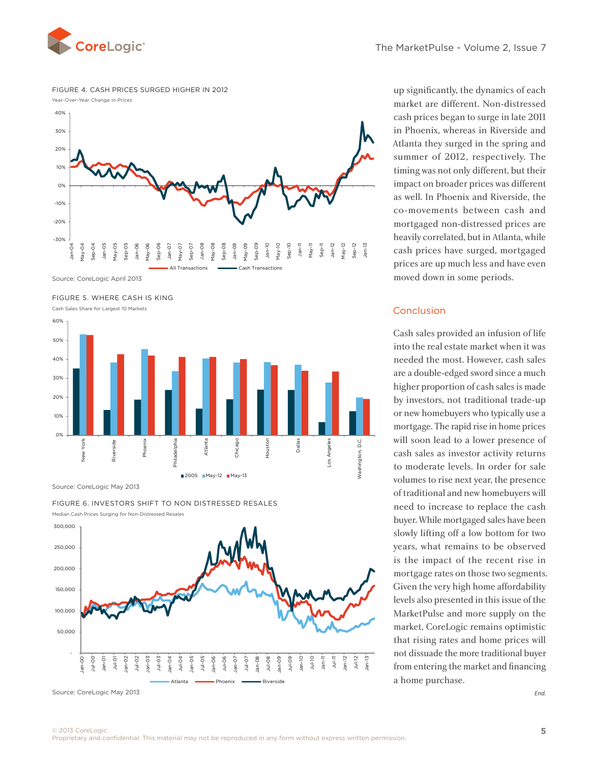<span id="page-4-0"></span>![](_page_4_Picture_0.jpeg)

#### Figure 4. Cash Prices Surged Higher in 2012

Year-Over-Year Change in Prices

![](_page_4_Figure_4.jpeg)

Source: CoreLogic April 2013

#### Figure 5. Where Cash is King

Cash Sales Share for Largest 10 Markets

![](_page_4_Figure_8.jpeg)

Source: CoreLogic May 2013

#### Figure 6. Investors Shift to Non Distressed Resales

Median Cash Prices Surging for Non-Distressed Resales

![](_page_4_Figure_12.jpeg)

Source: CoreLogic May 2013

up significantly, the dynamics of each market are different. Non-distressed cash prices began to surge in late 2011 in Phoenix, whereas in Riverside and Atlanta they surged in the spring and summer of 2012, respectively. The timing was not only different, but their impact on broader prices was different as well. In Phoenix and Riverside, the co-movements between cash and mortgaged non-distressed prices are heavily correlated, but in Atlanta, while cash prices have surged, mortgaged prices are up much less and have even moved down in some periods.

## Conclusion

Cash sales provided an infusion of life into the real estate market when it was needed the most. However, cash sales are a double-edged sword since a much higher proportion of cash sales is made by investors, not traditional trade-up or new homebuyers who typically use a mortgage. The rapid rise in home prices will soon lead to a lower presence of cash sales as investor activity returns to moderate levels. In order for sale volumes to rise next year, the presence of traditional and new homebuyers will need to increase to replace the cash buyer. While mortgaged sales have been slowly lifting off a low bottom for two years, what remains to be observed is the impact of the recent rise in mortgage rates on those two segments. Given the very high home affordability levels also presented in this issue of the MarketPulse and more supply on the market, CoreLogic remains optimistic that rising rates and home prices will not dissuade the more traditional buyer from entering the market and financing a home purchase.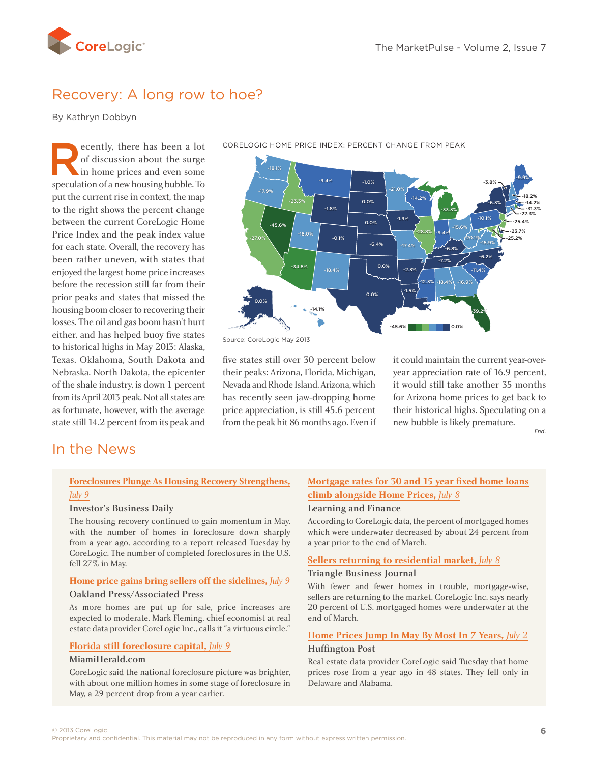<span id="page-5-0"></span>![](_page_5_Picture_1.jpeg)

# Recovery: A long row to hoe?

By Kathryn Dobbyn

Examples of discussion about the surge in home prices and even some appellation of a new housing bubble. To of discussion about the surge in home prices and even some speculation of a new housing bubble. To put the current rise in context, the map to the right shows the percent change between the current CoreLogic Home Price Index and the peak index value for each state. Overall, the recovery has been rather uneven, with states that enjoyed the largest home price increases before the recession still far from their prior peaks and states that missed the housing boom closer to recovering their losses. The oil and gas boom hasn't hurt either, and has helped buoy five states to historical highs in May 2013: Alaska, Texas, Oklahoma, South Dakota and Nebraska. North Dakota, the epicenter of the shale industry, is down 1 percent from its April 2013 peak. Not all states are as fortunate, however, with the average state still 14.2 percent from its peak and

-18.1% -17.9% -45.6% -23.3% -9.4% -1.8% -34.8% 0.0% -18.4% -0.1% -1.0% -21.0% -1.9%  $-17.4%$  $-2.3%$ -1.5%  $-12.3\%$   $-18.4\%$   $-16.9\%$ -39.2% -11.4%  $-7.2%$ -6.8% -20.1% -15.9% -15.6%  $-28.8\%$   $-9.4\%$ -14.2% -33.3% -10.1% -9.9% 0.0% 0.0% 0.0% 0.0%  $-6.4%$ -6.3% -18.2% -31.3% -25.4% -23.7% -25.2% -14.2% -22.3% -3.8% -14.1%  $0.0%$ 

CoreLogic Home Price Index: Percent Change from Peak

Source: CoreLogic May 2013

five states still over 30 percent below their peaks: Arizona, Florida, Michigan, Nevada and Rhode Island. Arizona, which has recently seen jaw-dropping home price appreciation, is still 45.6 percent from the peak hit 86 months ago. Even if it could maintain the current year-overyear appreciation rate of 16.9 percent, it would still take another 35 months for Arizona home prices to get back to their historical highs. Speculating on a new bubble is likely premature.

*End.*

## In the News

## **[Foreclosures Plunge As Housing Recovery Strengthens,](http://news.investors.com/economy/070913-662944-housing-foreclosuresdelinquencies-down-as-recovery-builds.htm)** *[July 9](http://news.investors.com/economy/070913-662944-housing-foreclosuresdelinquencies-down-as-recovery-builds.htm)*

## Investor's Business Daily

The housing recovery continued to gain momentum in May, with the number of homes in foreclosure down sharply from a year ago, according to a report released Tuesday by CoreLogic. The number of completed foreclosures in the U.S. fell 27% in May.

## **[Home price gains bring sellers off the sidelines,](http://www.theoaklandpress.com/articles/2013/07/09/news/nation_and_world/a66d09ee-3e2b-4673-8569-ea8f6fb338c4.txt)** *July 9*

## Oakland Press/Associated Press

As more homes are put up for sale, price increases are expected to moderate. Mark Fleming, chief economist at real estate data provider CoreLogic Inc., calls it "a virtuous circle."

## **[Florida still foreclosure capital,](http://www.miamiherald.com/2013/07/09/3492227/florida-still-foreclosure-capital.html)** *July 9*

## MiamiHerald.com

CoreLogic said the national foreclosure picture was brighter, with about one million homes in some stage of foreclosure in May, a 29 percent drop from a year earlier.

## **[Mortgage rates for 30 and 15 year fixed home loans](http://www.learningandfinance.com/2013/07/08/mortgage-rates-for-30-and-15-year-fixed-home-loans-climb-alongside-home-prices-home-buyers-out-to-lock-in-low-rates/) [climb alongside Home Prices,](http://www.learningandfinance.com/2013/07/08/mortgage-rates-for-30-and-15-year-fixed-home-loans-climb-alongside-home-prices-home-buyers-out-to-lock-in-low-rates/)** *July 8* Learning and Finance

## According to CoreLogic data, the percent of mortgaged homes which were underwater decreased by about 24 percent from

## **[Sellers returning to residential market,](http://www.bizjournals.com/triangle/morning_call/2013/07/sellers-returning-to-residential-market.html)** *July 8*

#### Triangle Business Journal

a year prior to the end of March.

With fewer and fewer homes in trouble, mortgage-wise, sellers are returning to the market. CoreLogic Inc. says nearly 20 percent of U.S. mortgaged homes were underwater at the end of March.

## **[Home Prices Jump In May By Most In 7 Years,](http://www.huffingtonpost.com/2013/07/02/home-prices-may_n_3533044.html%3Futm_hp_ref%3Dbusiness)** *July 2*

## Huffington Post

Real estate data provider CoreLogic said Tuesday that home prices rose from a year ago in 48 states. They fell only in Delaware and Alabama.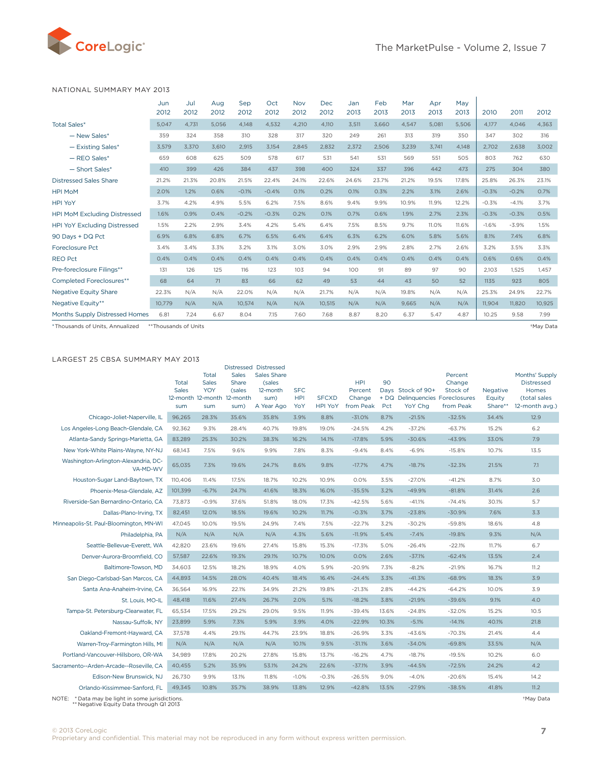<span id="page-6-0"></span>![](_page_6_Picture_0.jpeg)

#### National Summary May 2013

|                                     | Jun<br>2012 | Jul<br>2012          | Aug<br>2012 | Sep<br>2012 | Oct<br>2012 | Nov<br>2012 | Dec<br>2012 | Jan<br>2013 | Feb<br>2013 | Mar<br>2013 | Apr<br>2013 | May<br>2013 | 2010    | 2011    | 2012                  |
|-------------------------------------|-------------|----------------------|-------------|-------------|-------------|-------------|-------------|-------------|-------------|-------------|-------------|-------------|---------|---------|-----------------------|
| <b>Total Sales*</b>                 | 5,047       | 4,731                | 5,056       | 4,148       | 4,532       | 4,210       | 4.110       | 3,511       | 3,660       | 4,547       | 5,081       | 5,506       | 4.177   | 4.046   | 4,363                 |
| - New Sales*                        | 359         | 324                  | 358         | 310         | 328         | 317         | 320         | 249         | 261         | 313         | 319         | 350         | 347     | 302     | 316                   |
| - Existing Sales*                   | 3,579       | 3,370                | 3,610       | 2,915       | 3,154       | 2,845       | 2,832       | 2,372       | 2,506       | 3,239       | 3.741       | 4.148       | 2,702   | 2.638   | 3,002                 |
| $-$ REO Sales*                      | 659         | 608                  | 625         | 509         | 578         | 617         | 531         | 541         | 531         | 569         | 551         | 505         | 803     | 762     | 630                   |
| - Short Sales*                      | 410         | 399                  | 426         | 384         | 437         | 398         | 400         | 324         | 337         | 396         | 442         | 473         | 275     | 304     | 380                   |
| <b>Distressed Sales Share</b>       | 21.2%       | 21.3%                | 20.8%       | 21.5%       | 22.4%       | 24.1%       | 22.6%       | 24.6%       | 23.7%       | 21.2%       | 19.5%       | 17.8%       | 25.8%   | 26.3%   | 23.1%                 |
| <b>HPI MoM</b>                      | 2.0%        | 1.2%                 | 0.6%        | $-0.1%$     | $-0.4%$     | 0.1%        | 0.2%        | 0.1%        | 0.3%        | 2.2%        | 3.1%        | 2.6%        | $-0.3%$ | $-0.2%$ | 0.7%                  |
| <b>HPI YoY</b>                      | 3.7%        | 4.2%                 | 4.9%        | 5.5%        | 6.2%        | 7.5%        | 8.6%        | 9.4%        | 9.9%        | 10.9%       | 11.9%       | 12.2%       | $-0.3%$ | $-4.1%$ | 3.7%                  |
| HPI MoM Excluding Distressed        | 1.6%        | 0.9%                 | 0.4%        | $-0.2%$     | $-0.3%$     | 0.2%        | 0.1%        | 0.7%        | 0.6%        | 1.9%        | 2.7%        | 2.3%        | $-0.3%$ | $-0.3%$ | 0.5%                  |
| <b>HPI YoY Excluding Distressed</b> | 1.5%        | 2.2%                 | 2.9%        | 3.4%        | 4.2%        | 5.4%        | 6.4%        | 7.5%        | 8.5%        | 9.7%        | 11.0%       | 11.6%       | $-1.6%$ | $-3.9%$ | 1.5%                  |
| 90 Days + DQ Pct                    | 6.9%        | 6.8%                 | 6.8%        | 6.7%        | 6.5%        | 6.4%        | 6.4%        | 6.3%        | 6.2%        | 6.0%        | 5.8%        | 5.6%        | 8.1%    | 7.4%    | 6.8%                  |
| <b>Foreclosure Pct</b>              | 3.4%        | 3.4%                 | 3.3%        | 3.2%        | 3.1%        | 3.0%        | 3.0%        | 2.9%        | 2.9%        | 2.8%        | 2.7%        | 2.6%        | 3.2%    | 3.5%    | 3.3%                  |
| <b>REO Pct</b>                      | 0.4%        | 0.4%                 | 0.4%        | 0.4%        | 0.4%        | 0.4%        | 0.4%        | 0.4%        | 0.4%        | 0.4%        | 0.4%        | 0.4%        | 0.6%    | 0.6%    | 0.4%                  |
| Pre-foreclosure Filings**           | 131         | 126                  | 125         | 116         | 123         | 103         | 94          | 100         | 91          | 89          | 97          | 90          | 2,103   | 1,525   | 1,457                 |
| <b>Completed Foreclosures**</b>     | 68          | 64                   | 71          | 83          | 66          | 62          | 49          | 53          | 44          | 43          | 50          | 52          | 1135    | 923     | 805                   |
| <b>Negative Equity Share</b>        | 22.3%       | N/A                  | N/A         | 22.0%       | N/A         | N/A         | 21.7%       | N/A         | N/A         | 19.8%       | N/A         | N/A         | 25.3%   | 24.9%   | 22.7%                 |
| Negative Equity**                   | 10,779      | N/A                  | N/A         | 10,574      | N/A         | N/A         | 10,515      | N/A         | N/A         | 9,665       | N/A         | N/A         | 11,904  | 11,820  | 10,925                |
| Months Supply Distressed Homes      | 6.81        | 7.24                 | 6.67        | 8.04        | 7.15        | 7.60        | 7.68        | 8.87        | 8.20        | 6.37        | 5.47        | 4.87        | 10.25   | 9.58    | 7.99                  |
| *Thousands of Units, Annualized     |             | **Thousands of Units |             |             |             |             |             |             |             |             |             |             |         |         | <sup>+</sup> May Data |

#### Largest 25 CBSA Summary May 2013

|                                                  | Total<br><b>Sales</b><br>sum | Total<br><b>Sales</b><br><b>YOY</b><br>12-month 12-month 12-month<br>sum | <b>Sales</b><br>Share<br>(sales<br>sum) | Distressed Distressed<br><b>Sales Share</b><br>(sales<br>12-month<br>sum)<br>A Year Ago | <b>SFC</b><br><b>HPI</b><br>YoY | <b>SFCXD</b><br>HPI YoY | <b>HPI</b><br>Percent<br>Change<br>from Peak | 90<br>$+$ DQ<br>Pct | Days Stock of 90+<br>Delinguencies Foreclosures<br>YoY Cha | Percent<br>Change<br>Stock of<br>from Peak | Negative<br>Equity<br>Share** | Months' Supply<br><b>Distressed</b><br>Homes<br>(total sales<br>12-month avg.) |
|--------------------------------------------------|------------------------------|--------------------------------------------------------------------------|-----------------------------------------|-----------------------------------------------------------------------------------------|---------------------------------|-------------------------|----------------------------------------------|---------------------|------------------------------------------------------------|--------------------------------------------|-------------------------------|--------------------------------------------------------------------------------|
| Chicago-Joliet-Naperville, IL                    | 96.265                       | 28.3%                                                                    | 35.6%                                   | 35.8%                                                                                   | 3.9%                            | 8.8%                    | $-31.0%$                                     | 8.7%                | $-21.5%$                                                   | $-32.5%$                                   | 34.4%                         | 12.9                                                                           |
| Los Angeles-Long Beach-Glendale, CA              | 92,362                       | 9.3%                                                                     | 28.4%                                   | 40.7%                                                                                   | 19.8%                           | 19.0%                   | $-24.5%$                                     | 4.2%                | $-37.2%$                                                   | $-63.7%$                                   | 15.2%                         | 6.2                                                                            |
| Atlanta-Sandy Springs-Marietta, GA               | 83,289                       | 25.3%                                                                    | 30.2%                                   | 38.3%                                                                                   | 16.2%                           | 14.1%                   | $-17.8%$                                     | 5.9%                | $-30.6%$                                                   | $-43.9%$                                   | 33.0%                         | 7.9                                                                            |
| New York-White Plains-Wayne, NY-NJ               | 68,143                       | 7.5%                                                                     | 9.6%                                    | 9.9%                                                                                    | 7.8%                            | 8.3%                    | $-9.4%$                                      | 8.4%                | $-6.9%$                                                    | $-15.8%$                                   | 10.7%                         | 13.5                                                                           |
| Washington-Arlington-Alexandria, DC-<br>VA-MD-WV | 65,035                       | 7.3%                                                                     | 19.6%                                   | 24.7%                                                                                   | 8.6%                            | 9.8%                    | $-17.7%$                                     | 4.7%                | $-18.7%$                                                   | $-32.3%$                                   | 21.5%                         | 7.1                                                                            |
| Houston-Sugar Land-Baytown, TX                   | 110,406                      | 11.4%                                                                    | 17.5%                                   | 18.7%                                                                                   | 10.2%                           | 10.9%                   | 0.0%                                         | 3.5%                | $-27.0%$                                                   | $-41.2%$                                   | 8.7%                          | 3.0                                                                            |
| Phoenix-Mesa-Glendale, AZ                        | 101,399                      | $-6.7%$                                                                  | 24.7%                                   | 41.6%                                                                                   | 18.3%                           | 16.0%                   | $-35.5%$                                     | 3.2%                | $-49.9%$                                                   | $-81.8%$                                   | 31.4%                         | 2.6                                                                            |
| Riverside-San Bernardino-Ontario, CA             | 73,873                       | $-0.9%$                                                                  | 37.6%                                   | 51.8%                                                                                   | 18.0%                           | 17.3%                   | $-42.5%$                                     | 5.6%                | $-41.1%$                                                   | $-74.4%$                                   | 30.1%                         | 5.7                                                                            |
| Dallas-Plano-Irving, TX                          | 82,451                       | 12.0%                                                                    | 18.5%                                   | 19.6%                                                                                   | 10.2%                           | 11.7%                   | $-0.3%$                                      | 3.7%                | $-23.8%$                                                   | $-30.9%$                                   | 7.6%                          | 3.3                                                                            |
| Minneapolis-St. Paul-Bloomington, MN-WI          | 47,045                       | 10.0%                                                                    | 19.5%                                   | 24.9%                                                                                   | 7.4%                            | 7.5%                    | $-22.7%$                                     | 3.2%                | $-30.2%$                                                   | $-59.8%$                                   | 18.6%                         | 4.8                                                                            |
| Philadelphia, PA                                 | N/A                          | N/A                                                                      | N/A                                     | N/A                                                                                     | 4.3%                            | 5.6%                    | $-11.9%$                                     | 5.4%                | $-7.4%$                                                    | $-19.8%$                                   | 9.3%                          | N/A                                                                            |
| Seattle-Bellevue-Everett, WA                     | 42,820                       | 23.6%                                                                    | 19.6%                                   | 27.4%                                                                                   | 15.8%                           | 15.3%                   | $-17.3%$                                     | 5.0%                | $-26.4%$                                                   | $-22.1%$                                   | 11.7%                         | 6.7                                                                            |
| Denver-Aurora-Broomfield, CO                     | 57,587                       | 22.6%                                                                    | 19.3%                                   | 29.1%                                                                                   | 10.7%                           | 10.0%                   | 0.0%                                         | 2.6%                | $-37.1%$                                                   | $-62.4%$                                   | 13.5%                         | 2.4                                                                            |
| Baltimore-Towson, MD                             | 34,603                       | 12.5%                                                                    | 18.2%                                   | 18.9%                                                                                   | 4.0%                            | 5.9%                    | $-20.9%$                                     | 7.3%                | $-8.2%$                                                    | $-21.9%$                                   | 16.7%                         | 11.2                                                                           |
| San Diego-Carlsbad-San Marcos, CA                | 44,893                       | 14.5%                                                                    | 28.0%                                   | 40.4%                                                                                   | 18.4%                           | 16.4%                   | $-24.4%$                                     | 3.3%                | $-41.3%$                                                   | $-68.9%$                                   | 18.3%                         | 3.9                                                                            |
| Santa Ana-Anaheim-Irvine, CA                     | 36,564                       | 16.9%                                                                    | 22.1%                                   | 34.9%                                                                                   | 21.2%                           | 19.8%                   | $-21.3%$                                     | 2.8%                | $-44.2%$                                                   | $-64.2%$                                   | 10.0%                         | 3.9                                                                            |
| St. Louis, MO-IL                                 | 48,418                       | 11.6%                                                                    | 27.4%                                   | 26.7%                                                                                   | 2.0%                            | 5.1%                    | $-18.2%$                                     | 3.8%                | $-21.9%$                                                   | $-39.6%$                                   | 9.1%                          | 4.0                                                                            |
| Tampa-St. Petersburg-Clearwater, FL              | 65,534                       | 17.5%                                                                    | 29.2%                                   | 29.0%                                                                                   | 9.5%                            | 11.9%                   | $-39.4%$                                     | 13.6%               | $-24.8%$                                                   | $-32.0%$                                   | 15.2%                         | 10.5                                                                           |
| Nassau-Suffolk, NY                               | 23,899                       | 5.9%                                                                     | 7.3%                                    | 5.9%                                                                                    | 3.9%                            | 4.0%                    | $-22.9%$                                     | 10.3%               | $-5.1%$                                                    | $-14.1%$                                   | 40.1%                         | 21.8                                                                           |
| Oakland-Fremont-Hayward, CA                      | 37,578                       | 4.4%                                                                     | 29.1%                                   | 44.7%                                                                                   | 23.9%                           | 18.8%                   | $-26.9%$                                     | 3.3%                | $-43.6%$                                                   | $-70.3%$                                   | 21.4%                         | 4.4                                                                            |
| Warren-Troy-Farmington Hills, MI                 | N/A                          | N/A                                                                      | N/A                                     | N/A                                                                                     | 10.1%                           | 9.5%                    | $-31.1%$                                     | 3.6%                | $-34.0%$                                                   | $-69.8%$                                   | 33.5%                         | N/A                                                                            |
| Portland-Vancouver-Hillsboro, OR-WA              | 34,989                       | 17.8%                                                                    | 20.2%                                   | 27.8%                                                                                   | 15.8%                           | 13.7%                   | $-16.2%$                                     | 4.7%                | $-18.7%$                                                   | $-19.5%$                                   | 10.2%                         | 6.0                                                                            |
| Sacramento--Arden-Arcade--Roseville, CA          | 40,455                       | 5.2%                                                                     | 35.9%                                   | 53.1%                                                                                   | 24.2%                           | 22.6%                   | $-37.1%$                                     | 3.9%                | $-44.5%$                                                   | $-72.5%$                                   | 24.2%                         | 4.2                                                                            |
| Edison-New Brunswick, NJ                         | 26,730                       | 9.9%                                                                     | 13.1%                                   | 11.8%                                                                                   | $-1.0%$                         | $-0.3%$                 | $-26.5%$                                     | 9.0%                | $-4.0%$                                                    | $-20.6%$                                   | 15.4%                         | 14.2                                                                           |
| Orlando-Kissimmee-Sanford, FL                    | 49,345                       | 10.8%                                                                    | 35.7%                                   | 38.9%                                                                                   | 13.8%                           | 12.9%                   | $-42.8%$                                     | 13.5%               | $-27.9%$                                                   | $-38.5%$                                   | 41.8%                         | 11.2                                                                           |

NOTE: \* Data may be light in some jurisdictions. †May Data \*\* Negative Equity Data through Q1 2013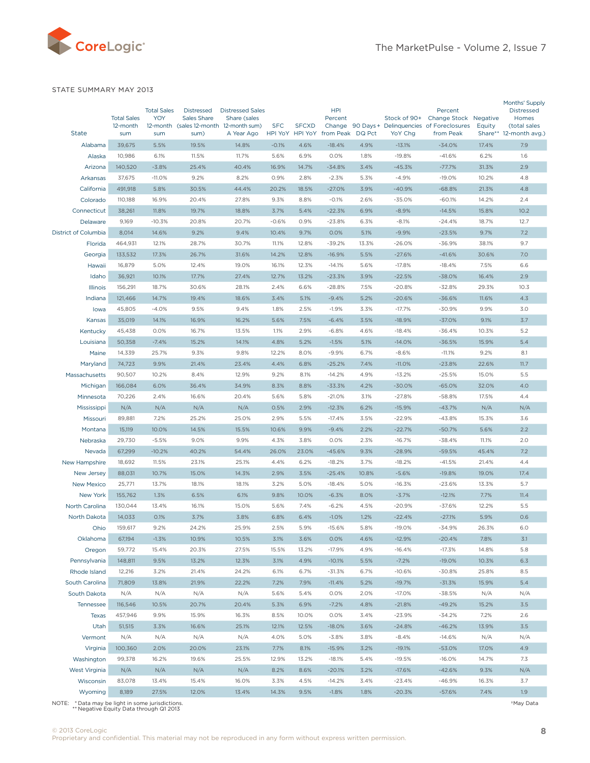<span id="page-7-0"></span>![](_page_7_Picture_0.jpeg)

#### STATE SUMMARY MAY 2013

|                      |                    | <b>Total Sales</b> | <b>Distressed</b>                      | <b>Distressed Sales</b> |            |              | <b>HPI</b>                       |       |          | Percent                                        |        | Months' Supply<br><b>Distressed</b> |
|----------------------|--------------------|--------------------|----------------------------------------|-------------------------|------------|--------------|----------------------------------|-------|----------|------------------------------------------------|--------|-------------------------------------|
|                      | <b>Total Sales</b> | <b>YOY</b>         | <b>Sales Share</b>                     | Share (sales            |            |              | Percent                          |       |          | Stock of 90+ Change Stock Negative             |        | Homes                               |
|                      | 12-month           |                    | 12-month (sales 12-month 12-month sum) |                         | <b>SFC</b> | <b>SFCXD</b> |                                  |       |          | Change 90 Days + Delinquencies of Foreclosures | Equity | (total sales                        |
| <b>State</b>         | sum                | sum                | sum)                                   | A Year Ago              |            |              | HPI YoY HPI YoY from Peak DQ Pct |       | YoY Chg  | from Peak                                      |        | Share** 12-month avg.)              |
| Alabama              | 39,675             | 5.5%               | 19.5%                                  | 14.8%                   | $-0.1%$    | 4.6%         | $-18.4%$                         | 4.9%  | $-13.1%$ | $-34.0%$                                       | 17.4%  | 7.9                                 |
| Alaska               | 10,986             | 6.1%               | 11.5%                                  | 11.7%                   | 5.6%       | 6.9%         | 0.0%                             | 1.8%  | $-19.8%$ | $-41.6%$                                       | 6.2%   | 1.6                                 |
| Arizona              | 140,520            | $-3.8%$            | 25.4%                                  | 40.4%                   | 16.9%      | 14.7%        | $-34.8%$                         | 3.4%  | $-45.3%$ | $-77.7%$                                       | 31.3%  | 2.9                                 |
| Arkansas             | 37,675             | $-11.0%$           | 9.2%                                   | 8.2%                    | 0.9%       | 2.8%         | $-2.3%$                          | 5.3%  | $-4.9%$  | $-19.0%$                                       | 10.2%  | 4.8                                 |
| California           | 491,918            | 5.8%               | 30.5%                                  | 44.4%                   | 20.2%      | 18.5%        | $-27.0%$                         | 3.9%  | $-40.9%$ | $-68.8%$                                       | 21.3%  | 4.8                                 |
| Colorado             | 110,188            | 16.9%              | 20.4%                                  | 27.8%                   | 9.3%       | 8.8%         | $-0.1%$                          | 2.6%  | $-35.0%$ | $-60.1%$                                       | 14.2%  | 2.4                                 |
| Connecticut          | 38,261             | 11.8%              | 19.7%                                  | 18.8%                   | 3.7%       | 5.4%         | $-22.3%$                         | 6.9%  | $-8.9%$  | $-14.5%$                                       | 15.8%  | 10.2                                |
| Delaware             | 9,169              | $-10.3%$           | 20.8%                                  | 20.7%                   | $-0.6%$    | 0.9%         | $-23.8%$                         | 6.3%  | $-8.1%$  | $-24.4%$                                       | 18.7%  | 12.7                                |
| District of Columbia | 8,014              | 14.6%              | 9.2%                                   | 9.4%                    | 10.4%      | 9.7%         | 0.0%                             | 5.1%  | $-9.9%$  | $-23.5%$                                       | 9.7%   | 7.2                                 |
| Florida              | 464,931            | 12.1%              | 28.7%                                  | 30.7%                   | 11.1%      | 12.8%        | $-39.2%$                         | 13.3% | $-26.0%$ | $-36.9%$                                       | 38.1%  | 9.7                                 |
| Georgia              | 133,532            | 17.3%              | 26.7%                                  | 31.6%                   | 14.2%      | 12.8%        | $-16.9%$                         | 5.5%  | $-27.6%$ | $-41.6%$                                       | 30.6%  | 7.0                                 |
| Hawaii               | 16,879             | 5.0%               | 12.4%                                  | 19.0%                   | 16.1%      | 12.3%        | $-14.1%$                         | 5.6%  | $-17.8%$ | $-18.4%$                                       | 7.5%   | 6.6                                 |
| Idaho                | 36,921             | 10.1%              | 17.7%                                  | 27.4%                   | 12.7%      | 13.2%        | $-23.3%$                         | 3.9%  | $-22.5%$ | $-38.0%$                                       | 16.4%  | 2.9                                 |
| Illinois             | 156,291            | 18.7%              | 30.6%                                  | 28.1%                   | 2.4%       | 6.6%         | $-28.8%$                         | 7.5%  | $-20.8%$ | $-32.8%$                                       | 29.3%  | 10.3                                |
| Indiana              | 121,466            | 14.7%              | 19.4%                                  | 18.6%                   | 3.4%       | 5.1%         | $-9.4%$                          | 5.2%  | $-20.6%$ | $-36.6%$                                       | 11.6%  | 4.3                                 |
| lowa                 | 45,805             | $-4.0%$            | 9.5%                                   | 9.4%                    | 1.8%       | 2.5%         | $-1.9%$                          | 3.3%  | $-17.7%$ | $-30.9%$                                       | 9.9%   | 3.0                                 |
| Kansas               | 35,019             | 14.1%              | 16.9%                                  | 16.2%                   | 5.6%       | 7.5%         | $-6.4%$                          | 3.5%  | $-18.9%$ | $-37.0%$                                       | 9.1%   | 3.7                                 |
| Kentucky             | 45,438             | 0.0%               | 16.7%                                  | 13.5%                   | 1.1%       | 2.9%         | $-6.8%$                          | 4.6%  | $-18.4%$ | $-36.4%$                                       | 10.3%  | 5.2                                 |
| Louisiana            | 50,358             | $-7.4%$            | 15.2%                                  | 14.1%                   | 4.8%       | 5.2%         | $-1.5%$                          | 5.1%  | $-14.0%$ | $-36.5%$                                       | 15.9%  | 5.4                                 |
| Maine                | 14,339             | 25.7%              | 9.3%                                   | 9.8%                    | 12.2%      | 8.0%         | $-9.9%$                          | 6.7%  | $-8.6%$  | $-11.1%$                                       | 9.2%   | 8.1                                 |
| Maryland             | 74,723             | 9.9%               | 21.4%                                  | 23.4%                   | 4.4%       | 6.8%         | $-25.2%$                         | 7.4%  | $-11.0%$ | $-23.8%$                                       | 22.6%  | 11.7                                |
| Massachusetts        | 90,507             | 10.2%              | 8.4%                                   | 12.9%                   | 9.2%       | 8.1%         | $-14.2%$                         | 4.9%  | $-13.2%$ | $-25.5%$                                       | 15.0%  | 5.5                                 |
| Michigan             | 166,084            | 6.0%               | 36.4%                                  | 34.9%                   | 8.3%       | 8.8%         | $-33.3%$                         | 4.2%  | $-30.0%$ | $-65.0%$                                       | 32.0%  | 4.0                                 |
| Minnesota            | 70,226             | 2.4%               | 16.6%                                  | 20.4%                   | 5.6%       | 5.8%         | $-21.0%$                         | 3.1%  | $-27.8%$ | $-58.8%$                                       | 17.5%  | 4.4                                 |
| Mississippi          | N/A                | N/A                | N/A                                    | N/A                     | 0.5%       | 2.9%         | $-12.3%$                         | 6.2%  | $-15.9%$ | $-43.7%$                                       | N/A    | N/A                                 |
| Missouri             | 89,881             | 7.2%               | 25.2%                                  | 25.0%                   | 2.9%       | 5.5%         | $-17.4%$                         | 3.5%  | $-22.9%$ | $-43.8%$                                       | 15.3%  | 3.6                                 |
| Montana              | 15,119             | 10.0%              | 14.5%                                  | 15.5%                   | 10.6%      | 9.9%         | $-9.4%$                          | 2.2%  | $-22.7%$ | $-50.7%$                                       | 5.6%   | 2.2                                 |
| Nebraska             | 29,730             | $-5.5%$            | 9.0%                                   | 9.9%                    | 4.3%       | 3.8%         | 0.0%                             | 2.3%  | $-16.7%$ | $-38.4%$                                       | 11.1%  | 2.0                                 |
| Nevada               | 67,299             | $-10.2%$           | 40.2%                                  | 54.4%                   | 26.0%      | 23.0%        | $-45.6%$                         | 9.3%  | $-28.9%$ | $-59.5%$                                       | 45.4%  | 7.2                                 |
| New Hampshire        | 18,692             | 11.5%              | 23.1%                                  | 25.1%                   | 4.4%       | 6.2%         | $-18.2%$                         | 3.7%  | $-18.2%$ | $-41.5%$                                       | 21.4%  | 4.4                                 |
| New Jersey           | 88,031             | 10.7%              | 15.0%                                  | 14.3%                   | 2.9%       | 3.5%         | $-25.4%$                         | 10.8% | $-5.6%$  | $-19.8%$                                       | 19.0%  | 17.4                                |
| <b>New Mexico</b>    | 25,771             | 13.7%              | 18.1%                                  | 18.1%                   | 3.2%       | 5.0%         | $-18.4%$                         | 5.0%  | $-16.3%$ | $-23.6%$                                       | 13.3%  | 5.7                                 |
| New York             | 155,762            | 1.3%               | 6.5%                                   | 6.1%                    | 9.8%       | 10.0%        | $-6.3%$                          | 8.0%  | $-3.7%$  | $-12.1%$                                       | 7.7%   | 11.4                                |
| North Carolina       | 130,044            | 13.4%              | 16.1%                                  | 15.0%                   | 5.6%       | 7.4%         | $-6.2%$                          | 4.5%  | $-20.9%$ | $-37.6%$                                       | 12.2%  | 5.5                                 |
| North Dakota         | 14,033             | 0.1%               | 3.7%                                   | 3.8%                    | 6.8%       | 6.4%         | $-1.0%$                          | 1.2%  | $-22.4%$ | $-27.1%$                                       | 5.9%   | 0.6                                 |
| Ohio                 | 159.617            | 9.2%               | 24.2%                                  | 25.9%                   | 2.5%       | 5.9%         | $-15.6%$                         | 5.8%  | $-19.0%$ | $-34.9%$                                       | 26.3%  | 6.0                                 |
| Oklahoma             | 67,194             | $-1.3%$            | 10.9%                                  | 10.5%                   | 3.1%       | 3.6%         | 0.0%                             | 4.6%  | $-12.9%$ | $-20.4%$                                       | 7.8%   | 3.1                                 |
| Oregon               | 59,772             | 15.4%              | 20.3%                                  | 27.5%                   | 15.5%      | 13.2%        | $-17.9%$                         | 4.9%  | $-16.4%$ | $-17.3%$                                       | 14.8%  | 5.8                                 |
| Pennsylvania         | 148,811            | 9.5%               | 13.2%                                  | 12.3%                   | 3.1%       | 4.9%         | $-10.1%$                         | 5.5%  | $-7.2%$  | $-19.0%$                                       | 10.3%  | 6.3                                 |
| Rhode Island         | 12,216             | 3.2%               | 21.4%                                  | 24.2%                   | 6.1%       | 6.7%         | $-31.3%$                         | 6.7%  | $-10.6%$ | $-30.8%$                                       | 25.8%  | 8.5                                 |
| South Carolina       | 71,809             | 13.8%              | 21.9%                                  | 22.2%                   | 7.2%       | 7.9%         | $-11.4%$                         | 5.2%  | $-19.7%$ | $-31.3%$                                       | 15.9%  | 5.4                                 |
| South Dakota         | N/A                | N/A                | N/A                                    | N/A                     | 5.6%       | 5.4%         | 0.0%                             | 2.0%  | $-17.0%$ | $-38.5%$                                       | N/A    | N/A                                 |
| Tennessee            | 116,546            | 10.5%              | 20.7%                                  | 20.4%                   | 5.3%       | 6.9%         | $-7.2%$                          | 4.8%  | $-21.8%$ | $-49.2%$                                       | 15.2%  | 3.5                                 |
| Texas                | 457,946            | 9.9%               | 15.9%                                  | 16.3%                   | 8.5%       | 10.0%        | 0.0%                             | 3.4%  | $-23.9%$ | $-34.2%$                                       | 7.2%   | 2.6                                 |
| Utah                 | 51,515             | 3.3%               | 16.6%                                  | 25.1%                   | 12.1%      | 12.5%        | $-18.0%$                         | 3.6%  | $-24.8%$ | $-46.2%$                                       | 13.9%  | 3.5                                 |
| Vermont              | N/A                | N/A                | N/A                                    | N/A                     | 4.0%       | 5.0%         | $-3.8%$                          | 3.8%  | $-8.4%$  | $-14.6%$                                       | N/A    | N/A                                 |
| Virginia             | 100,360            | 2.0%               | 20.0%                                  | 23.1%                   | 7.7%       | 8.1%         | $-15.9%$                         | 3.2%  | $-19.1%$ | $-53.0%$                                       | 17.0%  | 4.9                                 |
| Washington           | 99,378             | 16.2%              | 19.6%                                  | 25.5%                   | 12.9%      | 13.2%        | $-18.1%$                         | 5.4%  | $-19.5%$ | $-16.0%$                                       | 14.7%  | 7.3                                 |
| <b>West Virginia</b> | N/A                | N/A                | N/A                                    | N/A                     | 8.2%       | 8.6%         | $-20.1%$                         | 3.2%  | $-17.6%$ | $-42.6%$                                       | 9.3%   | N/A                                 |
| Wisconsin            | 83,078             | 13.4%              | 15.4%                                  | 16.0%                   | 3.3%       | 4.5%         | $-14.2%$                         | 3.4%  | $-23.4%$ | $-46.9%$                                       | 16.3%  | 3.7                                 |
| Wyoming              | 8,189              | 27.5%              | 12.0%                                  | 13.4%                   | 14.3%      | 9.5%         | $-1.8%$                          | 1.8%  | $-20.3%$ | $-57.6%$                                       | 7.4%   | 1.9                                 |
|                      |                    |                    |                                        |                         |            |              |                                  |       |          |                                                |        |                                     |

NOTE: \* Data may be light in some jurisdictions. †May Data \*\* Negative Equity Data through Q1 2013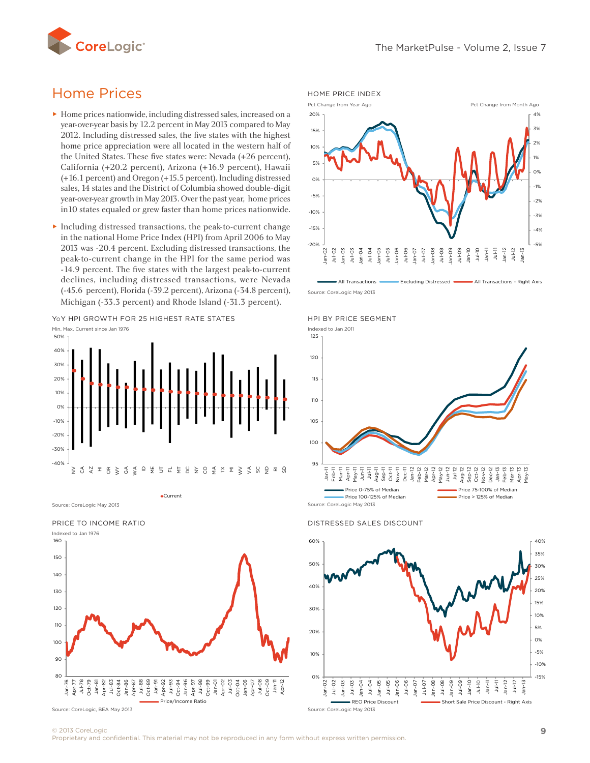<span id="page-8-0"></span>![](_page_8_Picture_0.jpeg)

# Home Prices

- ► Home prices nationwide, including distressed sales, increased on a year-over-year basis by 12.2 percent in May 2013 compared to May 2012. Including distressed sales, the five states with the highest home price appreciation were all located in the western half of the United States. These five states were: Nevada (+26 percent), California (+20.2 percent), Arizona (+16.9 percent), Hawaii (+16.1 percent) and Oregon (+15.5 percent). Including distressed sales, 14 states and the District of Columbia showed double-digit year-over-year growth in May 2013. Over the past year, home prices<br>in 10 states equaled or grew faster than home prices nationwide. in10 states equaled or grew faster than home prices nationwide.
- ► Including distressed transactions, the peak-to-current change Including distressed transactions, the peak-to-current change in the national Home Price Index (HPI) from April 2006 to May  $\frac{20\%}{20\%}$ 2013 was -20.4 percent. Excluding distressed transactions, the peak-to-current change in the HPI for the same period was -14.9 percent. The five states with the largest peak-to-current declines, including distressed transactions, were Nevada (-45.6 percent), Florida (-39.2 percent), Arizona (-34.8 percent), Michigan (-33.3 percent) and Rhode Island (-31.3 percent).

YoY HPI GROWTH FOR 25 HIGHEST RATE STATES

![](_page_8_Figure_6.jpeg)

Current

Source: CoreLogic May 2013

#### Price to Income Ratio

![](_page_8_Figure_9.jpeg)

Source: CoreLogic, BEA May 2013

![](_page_8_Figure_11.jpeg)

All Transactions **Excluding Distressed All Transactions - Right Axis** Source: CoreLogic May 2013

#### HPI by Price Segment

![](_page_8_Figure_14.jpeg)

Distressed Sales Discount

![](_page_8_Figure_16.jpeg)

© 2013 CoreLogic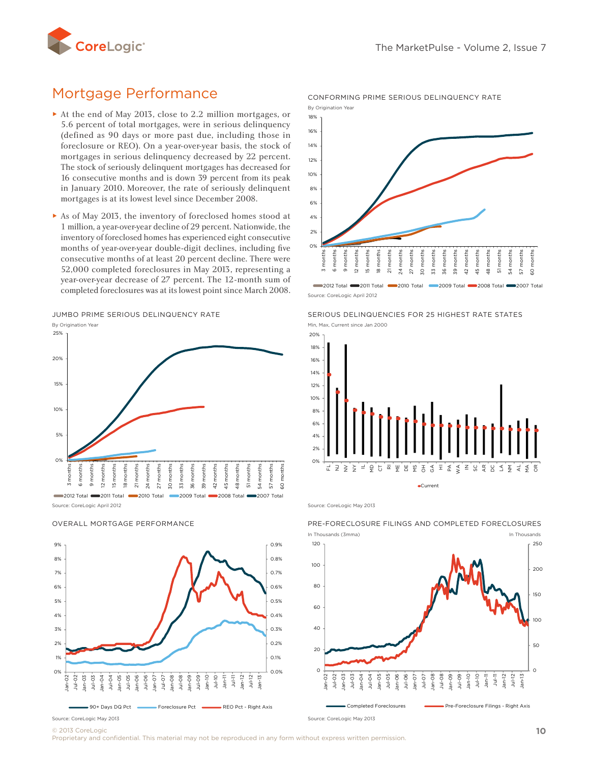![](_page_9_Picture_0.jpeg)

# Mortgage Performance

- ► At the end of May 2013, close to 2.2 million mortgages, or 5.6 percent of total mortgages, were in serious delinquency (defined as 90 days or more past due, including those in foreclosure or REO). On a year-over-year basis, the stock of mortgages in serious delinquency decreased by 22 percent. The stock of seriously delinquent mortgages has decreased for 16 consecutive months and is down 39 percent from its peak in January 2010. Moreover, the rate of seriously delinquent mortgages is at its lowest level since December 2008.
- As of May 2013, the inventory of foreclosed homes stood at 1 million, a year-over-year decline of 29 percent. Nationwide, the inventory of foreclosed homes how maximum dished supporting 1 million, a year-over-year decline of 29 percent. Nationwide, the months of year-over-year double-digit declines, including five  $\frac{1}{2}$   $\frac{1}{2}$   $\frac{1}{2}$   $\frac{1}{2}$   $\frac{1}{2}$   $\frac{1}{2}$   $\frac{1}{2}$   $\frac{1}{2}$   $\frac{1}{2}$   $\frac{1}{2}$   $\frac{1}{2}$   $\frac{1}{2}$   $\frac{1}{2}$   $\frac{1}{2}$   $\frac{1}{2}$   $\frac{1}{2}$ consecutive months of at least 20 percent decline. There were 52,000 completed foreclosures in May 2013, representing a year-over-year decrease of 27 percent. The 12-month sum of completed foreclosures was at its lowest point since March 2008.

![](_page_9_Figure_5.jpeg)

![](_page_9_Figure_6.jpeg)

0.0% 0.1% 0.2% 0.3% 0.4% 0.5% 0.6% 0.7% 0.8% 0.9% 0% 1% 2% 3% 4% 5% 6% 7% 8% 9% Jan-02 Jul-02 Jan-03 Jul-03 Jan-04 Jul-04 Jan-05 Jul-05 Jan-06 Jul-06 Jan-07 Jul-07 Jan-08 Jul-08 Jan-09 Jul-09 Jan-10 Jul-10 Jan-11  $\frac{1}{3}$ Jan-12 Jul-12 Jan-13 90+ Days DQ Pct Foreclosure Pct Forection REO Pct - Right Axis

#### OVERALL MORTGAGE PERFORMANCE

![](_page_9_Figure_9.jpeg)

Conforming Prime Serious Delinquency Rate

Source: CoreLogic April 2012

#### SERIOUS DELINQUENCIES FOR 25 HIGHEST RATE STATES Min, May, Current since Jan 2000

![](_page_9_Figure_12.jpeg)

Source: CoreLogic May 2013

Source: CoreLogic May 2013

![](_page_9_Figure_14.jpeg)

Pre-Foreclosure Filings And Completed Foreclosures

© 2013 CoreLogic Source: Corel ogic May 2013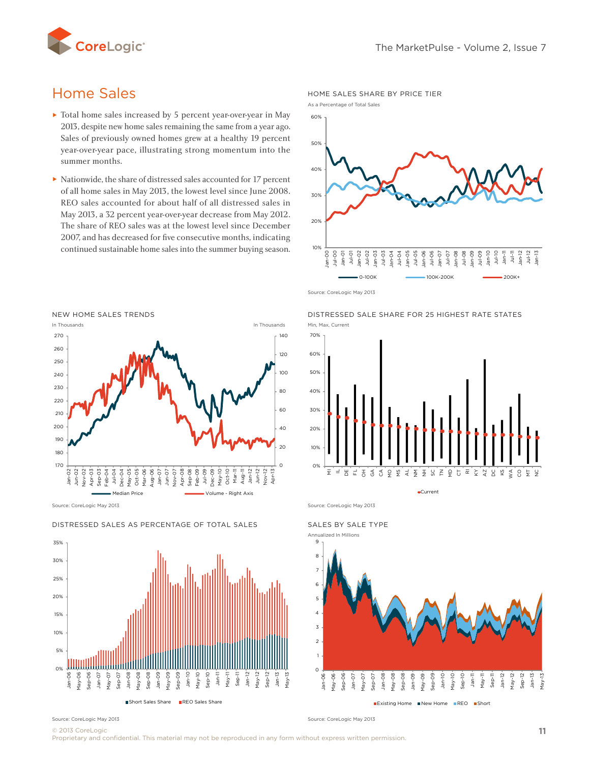![](_page_10_Picture_0.jpeg)

# Home Sales

- ► Total home sales increased by 5 percent year-over-year in May 2013, despite new home sales remaining the same from a year ago. Sales of previously owned homes grew at a healthy 19 percent year-over-year pace, illustrating strong momentum into the summer months.
- ► Nationwide, the share of distressed sales accounted for 17 percent of all home sales in May 2013, the lowest level since June 2008. REO sales accounted for about half of all distressed sales in or an nome sales in May 2015, the lowest lever since June 2006.<br>REO sales accounted for about half of all distressed sales in<br>May 2013, a 32 percent year-over-year decrease from May 2012. The share of REO sales was at the lowest level since December 2007, and has decreased for five consecutive months, indicating continued sustainable home sales into the summer buying season. The share of REO sales was at the lowest level since December<br>2007, and has decreased for five consecutive months, indicating<br>continued sustainable home sales into the summer buying season

New Home Sales Trends In Thousands In Thousands  $\overline{O}$  $20$ 40 60 80 100 120 140 170 180 190 200 210 220 230 240 250 260 270 Jan-02 Jun-02 Nov-02 Apr-03 Sep-03 .<br>ه .<br>3 Dec-04 May-05 Oct-05 Mar-06 Aug-06 Jan-07 Jun-07 Nov-07 Apr-08 Sep-08 Feb-09 Jul-09 Dec-09 May-10 Oct-10 Mar-1 Aug-11 Jan-12 Jun-12 Nov-12 Apr-13 Median Price Volume - Right Axis  $2.2<sup>h</sup>$  W  $\mathcal{W}$  distressed sales as  $\mathcal{W}$  of  $\mathcal{W}$   $\mathcal{W}$   $\mathcal{W}$   $\mathcal{W}$   $\mathcal{W}$   $\mathcal{W}$   $\mathcal{W}$   $\mathcal{W}$   $\mathcal{W}$   $\mathcal{W}$   $\mathcal{W}$   $\mathcal{W}$   $\mathcal{W}$   $\mathcal{W}$   $\mathcal{W}$   $\mathcal{W}$   $\mathcal{W}$   $\mathcal{W}$   $\mathcal{W}$   $\mathcal{W}$ 

Source: CoreLogic May 2013

Distressed Sales as Percentage of Total sales

![](_page_10_Figure_8.jpeg)

Sales Share REO Sales

Home Sales Share by Price Tier

![](_page_10_Figure_11.jpeg)

![](_page_10_Figure_12.jpeg)

Source: CoreLogic May 2013

Distressed Sale Share for 25 Highest Rate States

![](_page_10_Figure_15.jpeg)

Current

Source: CoreLogic May 2013

![](_page_10_Figure_17.jpeg)

Source: CoreLogic May 2013

© 2013 CoreLogic Source: CoreLogic May 2013